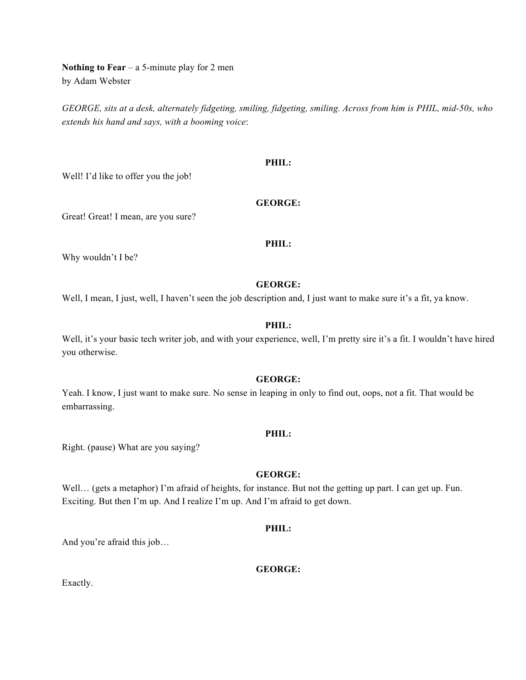**Nothing to Fear** – a 5-minute play for 2 men by Adam Webster

*GEORGE, sits at a desk, alternately fidgeting, smiling, fidgeting, smiling. Across from him is PHIL, mid-50s, who extends his hand and says, with a booming voice*:

#### **PHIL:**

Well! I'd like to offer you the job!

#### **GEORGE:**

Great! Great! I mean, are you sure?

# **PHIL:**

Why wouldn't I be?

# **GEORGE:**

Well, I mean, I just, well, I haven't seen the job description and, I just want to make sure it's a fit, ya know.

# **PHIL:**

Well, it's your basic tech writer job, and with your experience, well, I'm pretty sire it's a fit. I wouldn't have hired you otherwise.

#### **GEORGE:**

Yeah. I know, I just want to make sure. No sense in leaping in only to find out, oops, not a fit. That would be embarrassing.

#### **PHIL:**

Right. (pause) What are you saying?

# **GEORGE:**

Well... (gets a metaphor) I'm afraid of heights, for instance. But not the getting up part. I can get up. Fun. Exciting. But then I'm up. And I realize I'm up. And I'm afraid to get down.

# **PHIL:**

And you're afraid this job…

# **GEORGE:**

Exactly.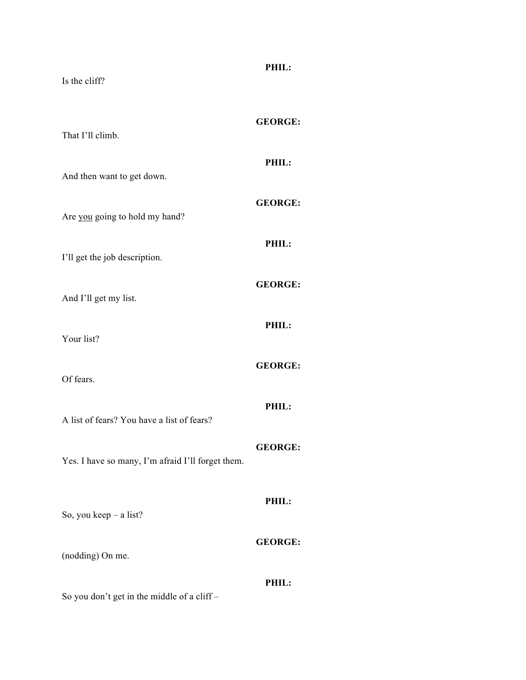| Is the cliff?                                     | PHIL:          |
|---------------------------------------------------|----------------|
| That I'll climb.                                  | <b>GEORGE:</b> |
| And then want to get down.                        | PHIL:          |
| Are you going to hold my hand?                    | <b>GEORGE:</b> |
| I'll get the job description.                     | PHIL:          |
| And I'll get my list.                             | <b>GEORGE:</b> |
| Your list?                                        | PHIL:          |
| Of fears.                                         | <b>GEORGE:</b> |
| A list of fears? You have a list of fears?        | PHIL:          |
| Yes. I have so many, I'm afraid I'll forget them. | <b>GEORGE:</b> |
| So, you keep - a list?                            | PHIL:          |
| (nodding) On me.                                  | <b>GEORGE:</b> |
| So you don't get in the middle of a cliff-        | PHIL:          |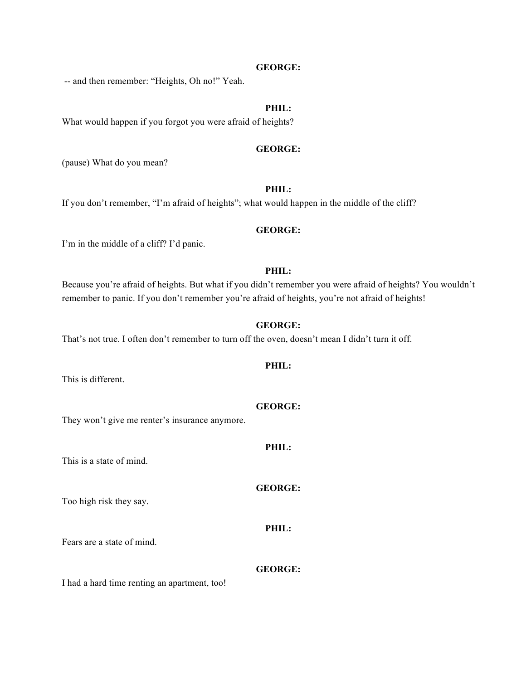#### **GEORGE:**

-- and then remember: "Heights, Oh no!" Yeah.

# **PHIL:**

What would happen if you forgot you were afraid of heights?

#### **GEORGE:**

(pause) What do you mean?

# **PHIL:**

If you don't remember, "I'm afraid of heights"; what would happen in the middle of the cliff?

#### **GEORGE:**

I'm in the middle of a cliff? I'd panic.

### **PHIL:**

Because you're afraid of heights. But what if you didn't remember you were afraid of heights? You wouldn't remember to panic. If you don't remember you're afraid of heights, you're not afraid of heights!

### **GEORGE:**

**PHIL:**

That's not true. I often don't remember to turn off the oven, doesn't mean I didn't turn it off.

This is different.

**GEORGE:**

They won't give me renter's insurance anymore.

This is a state of mind.

### **GEORGE:**

**PHIL:**

**PHIL:**

Too high risk they say.

Fears are a state of mind.

**GEORGE:**

I had a hard time renting an apartment, too!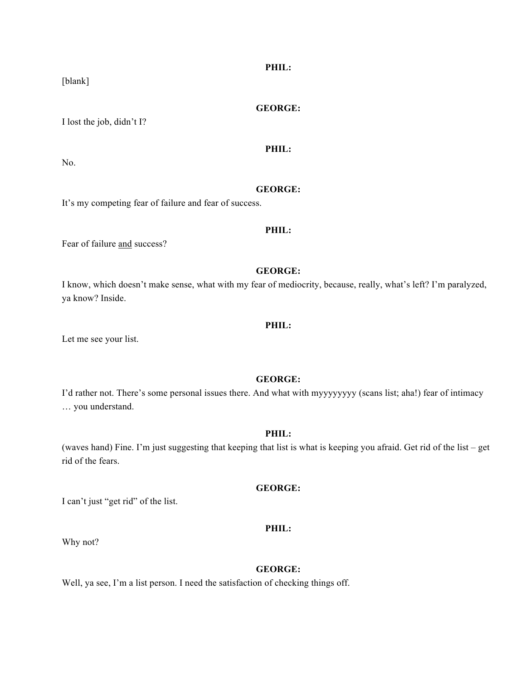[blank]

# **GEORGE:**

**PHIL:**

**PHIL:**

I lost the job, didn't I?

No.

# **GEORGE:**

It's my competing fear of failure and fear of success.

### **PHIL:**

Fear of failure and success?

#### **GEORGE:**

I know, which doesn't make sense, what with my fear of mediocrity, because, really, what's left? I'm paralyzed, ya know? Inside.

### **PHIL:**

Let me see your list.

# **GEORGE:**

I'd rather not. There's some personal issues there. And what with myyyyyyyy (scans list; aha!) fear of intimacy … you understand.

#### **PHIL:**

(waves hand) Fine. I'm just suggesting that keeping that list is what is keeping you afraid. Get rid of the list – get rid of the fears.

### **GEORGE:**

I can't just "get rid" of the list.

# **PHIL:**

Why not?

# **GEORGE:**

Well, ya see, I'm a list person. I need the satisfaction of checking things off.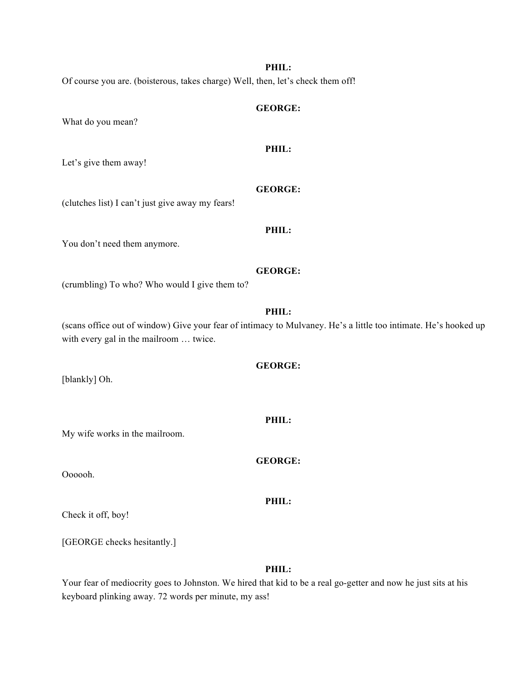#### **PHIL:**

Of course you are. (boisterous, takes charge) Well, then, let's check them off!

# **GEORGE:**

What do you mean?

# **PHIL:**

Let's give them away!

# **GEORGE:**

**PHIL:**

(clutches list) I can't just give away my fears!

#### You don't need them anymore.

#### **GEORGE:**

(crumbling) To who? Who would I give them to?

# **PHIL:**

(scans office out of window) Give your fear of intimacy to Mulvaney. He's a little too intimate. He's hooked up with every gal in the mailroom … twice.

#### **GEORGE:**

**PHIL:**

**GEORGE:**

**PHIL:**

[blankly] Oh.

My wife works in the mailroom.

Oooooh.

Check it off, boy!

[GEORGE checks hesitantly.]

#### **PHIL:**

Your fear of mediocrity goes to Johnston. We hired that kid to be a real go-getter and now he just sits at his keyboard plinking away. 72 words per minute, my ass!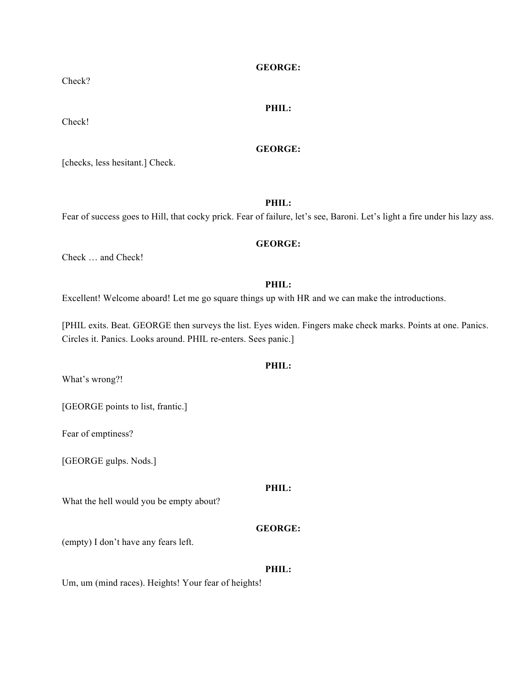#### **GEORGE:**

# **PHIL:**

Check!

# **GEORGE:**

[checks, less hesitant.] Check.

**PHIL:**

Fear of success goes to Hill, that cocky prick. Fear of failure, let's see, Baroni. Let's light a fire under his lazy ass.

#### **GEORGE:**

Check … and Check!

#### **PHIL:**

Excellent! Welcome aboard! Let me go square things up with HR and we can make the introductions.

[PHIL exits. Beat. GEORGE then surveys the list. Eyes widen. Fingers make check marks. Points at one. Panics. Circles it. Panics. Looks around. PHIL re-enters. Sees panic.]

# **PHIL:**

What's wrong?!

[GEORGE points to list, frantic.]

Fear of emptiness?

[GEORGE gulps. Nods.]

# **PHIL:**

What the hell would you be empty about?

# **GEORGE:**

(empty) I don't have any fears left.

#### **PHIL:**

Um, um (mind races). Heights! Your fear of heights!

Check?